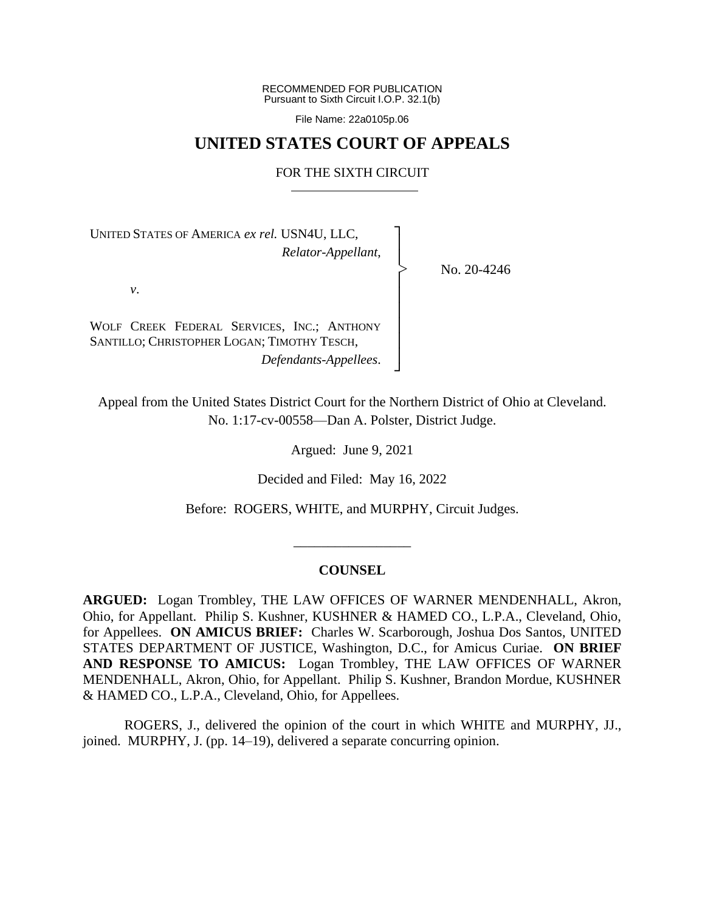RECOMMENDED FOR PUBLICATION Pursuant to Sixth Circuit I.O.P. 32.1(b)

File Name: 22a0105p.06

### **UNITED STATES COURT OF APPEALS**

#### FOR THE SIXTH CIRCUIT

┐ │ │ │ │ │ │ │ │ ┘

|<br>|<br>|

UNITED STATES OF AMERICA *ex rel.* USN4U, LLC, *Relator-Appellant*,

No. 20-4246

*v*.

WOLF CREEK FEDERAL SERVICES, INC.; ANTHONY SANTILLO; CHRISTOPHER LOGAN; TIMOTHY TESCH, *Defendants-Appellees*.

Appeal from the United States District Court for the Northern District of Ohio at Cleveland. No. 1:17-cv-00558—Dan A. Polster, District Judge.

Argued: June 9, 2021

Decided and Filed: May 16, 2022

Before: ROGERS, WHITE, and MURPHY, Circuit Judges.

### **COUNSEL**

\_\_\_\_\_\_\_\_\_\_\_\_\_\_\_\_\_

**ARGUED:** Logan Trombley, THE LAW OFFICES OF WARNER MENDENHALL, Akron, Ohio, for Appellant. Philip S. Kushner, KUSHNER & HAMED CO., L.P.A., Cleveland, Ohio, for Appellees. **ON AMICUS BRIEF:** Charles W. Scarborough, Joshua Dos Santos, UNITED STATES DEPARTMENT OF JUSTICE, Washington, D.C., for Amicus Curiae. **ON BRIEF AND RESPONSE TO AMICUS:** Logan Trombley, THE LAW OFFICES OF WARNER MENDENHALL, Akron, Ohio, for Appellant. Philip S. Kushner, Brandon Mordue, KUSHNER & HAMED CO., L.P.A., Cleveland, Ohio, for Appellees.

ROGERS, J., delivered the opinion of the court in which WHITE and MURPHY, JJ., joined. MURPHY, J. (pp. 14–19), delivered a separate concurring opinion.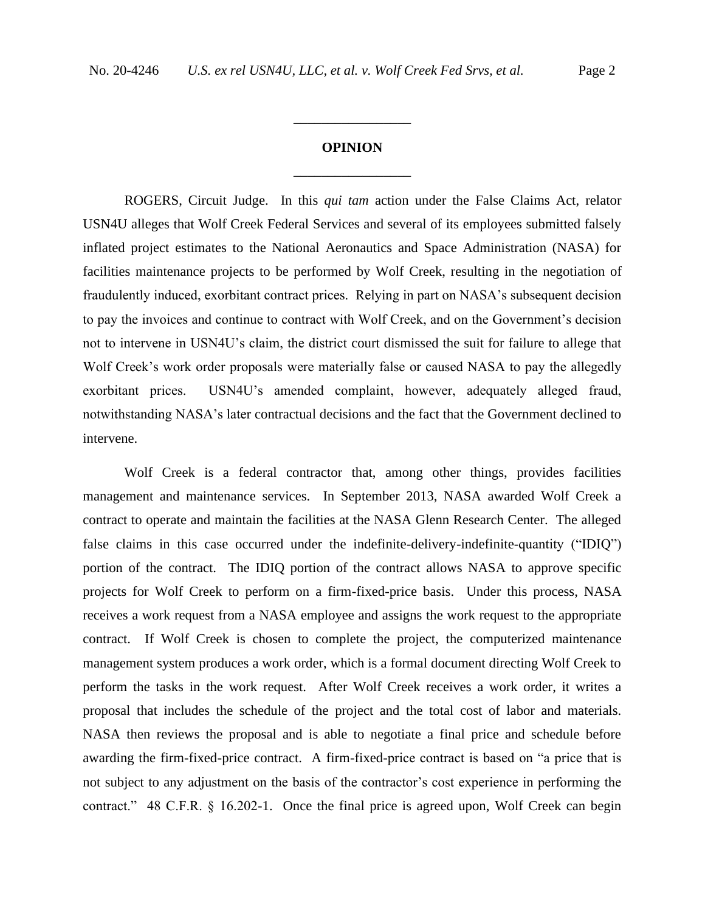# **OPINION** \_\_\_\_\_\_\_\_\_\_\_\_\_\_\_\_\_

\_\_\_\_\_\_\_\_\_\_\_\_\_\_\_\_\_

ROGERS, Circuit Judge. In this *qui tam* action under the False Claims Act, relator USN4U alleges that Wolf Creek Federal Services and several of its employees submitted falsely inflated project estimates to the National Aeronautics and Space Administration (NASA) for facilities maintenance projects to be performed by Wolf Creek, resulting in the negotiation of fraudulently induced, exorbitant contract prices. Relying in part on NASA's subsequent decision to pay the invoices and continue to contract with Wolf Creek, and on the Government's decision not to intervene in USN4U's claim, the district court dismissed the suit for failure to allege that Wolf Creek's work order proposals were materially false or caused NASA to pay the allegedly exorbitant prices. USN4U's amended complaint, however, adequately alleged fraud, notwithstanding NASA's later contractual decisions and the fact that the Government declined to intervene.

Wolf Creek is a federal contractor that, among other things, provides facilities management and maintenance services. In September 2013, NASA awarded Wolf Creek a contract to operate and maintain the facilities at the NASA Glenn Research Center. The alleged false claims in this case occurred under the indefinite-delivery-indefinite-quantity ("IDIQ") portion of the contract. The IDIQ portion of the contract allows NASA to approve specific projects for Wolf Creek to perform on a firm-fixed-price basis. Under this process, NASA receives a work request from a NASA employee and assigns the work request to the appropriate contract. If Wolf Creek is chosen to complete the project, the computerized maintenance management system produces a work order, which is a formal document directing Wolf Creek to perform the tasks in the work request. After Wolf Creek receives a work order, it writes a proposal that includes the schedule of the project and the total cost of labor and materials. NASA then reviews the proposal and is able to negotiate a final price and schedule before awarding the firm-fixed-price contract. A firm-fixed-price contract is based on "a price that is not subject to any adjustment on the basis of the contractor's cost experience in performing the contract." 48 C.F.R. § 16.202-1. Once the final price is agreed upon, Wolf Creek can begin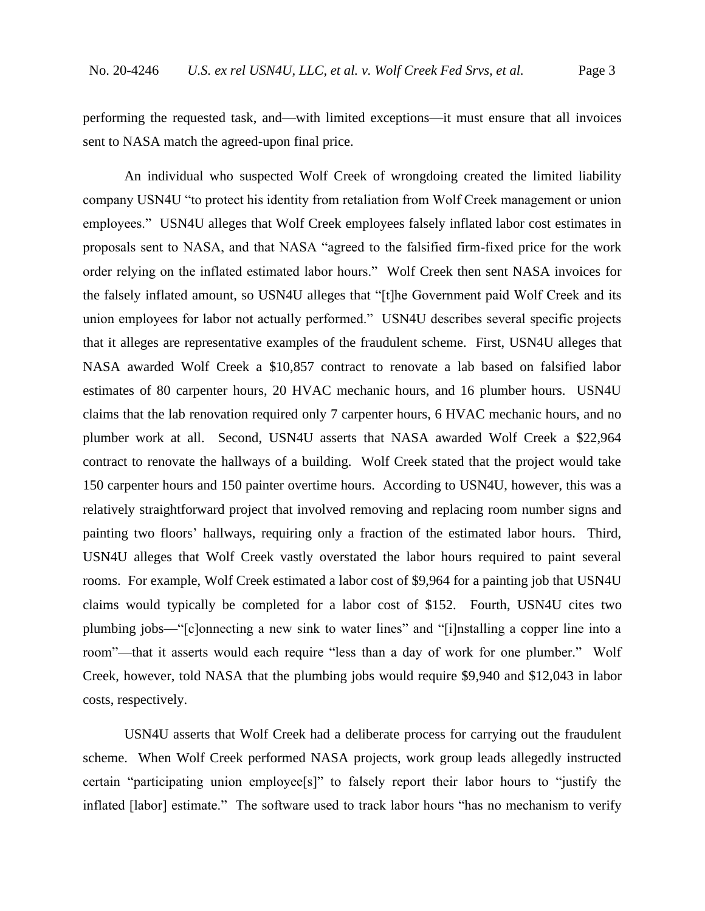performing the requested task, and—with limited exceptions—it must ensure that all invoices sent to NASA match the agreed-upon final price.

An individual who suspected Wolf Creek of wrongdoing created the limited liability company USN4U "to protect his identity from retaliation from Wolf Creek management or union employees." USN4U alleges that Wolf Creek employees falsely inflated labor cost estimates in proposals sent to NASA, and that NASA "agreed to the falsified firm-fixed price for the work order relying on the inflated estimated labor hours." Wolf Creek then sent NASA invoices for the falsely inflated amount, so USN4U alleges that "[t]he Government paid Wolf Creek and its union employees for labor not actually performed." USN4U describes several specific projects that it alleges are representative examples of the fraudulent scheme. First, USN4U alleges that NASA awarded Wolf Creek a \$10,857 contract to renovate a lab based on falsified labor estimates of 80 carpenter hours, 20 HVAC mechanic hours, and 16 plumber hours. USN4U claims that the lab renovation required only 7 carpenter hours, 6 HVAC mechanic hours, and no plumber work at all. Second, USN4U asserts that NASA awarded Wolf Creek a \$22,964 contract to renovate the hallways of a building. Wolf Creek stated that the project would take 150 carpenter hours and 150 painter overtime hours. According to USN4U, however, this was a relatively straightforward project that involved removing and replacing room number signs and painting two floors' hallways, requiring only a fraction of the estimated labor hours. Third, USN4U alleges that Wolf Creek vastly overstated the labor hours required to paint several rooms. For example, Wolf Creek estimated a labor cost of \$9,964 for a painting job that USN4U claims would typically be completed for a labor cost of \$152. Fourth, USN4U cites two plumbing jobs—"[c]onnecting a new sink to water lines" and "[i]nstalling a copper line into a room"—that it asserts would each require "less than a day of work for one plumber." Wolf Creek, however, told NASA that the plumbing jobs would require \$9,940 and \$12,043 in labor costs, respectively.

USN4U asserts that Wolf Creek had a deliberate process for carrying out the fraudulent scheme. When Wolf Creek performed NASA projects, work group leads allegedly instructed certain "participating union employee[s]" to falsely report their labor hours to "justify the inflated [labor] estimate." The software used to track labor hours "has no mechanism to verify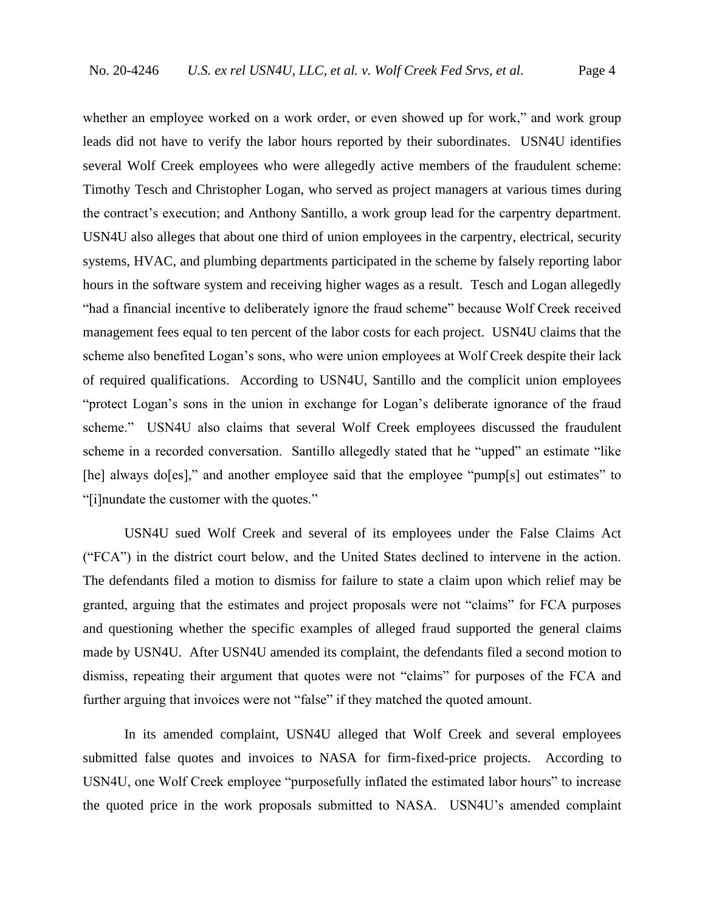whether an employee worked on a work order, or even showed up for work," and work group leads did not have to verify the labor hours reported by their subordinates. USN4U identifies several Wolf Creek employees who were allegedly active members of the fraudulent scheme: Timothy Tesch and Christopher Logan, who served as project managers at various times during the contract's execution; and Anthony Santillo, a work group lead for the carpentry department. USN4U also alleges that about one third of union employees in the carpentry, electrical, security systems, HVAC, and plumbing departments participated in the scheme by falsely reporting labor hours in the software system and receiving higher wages as a result. Tesch and Logan allegedly "had a financial incentive to deliberately ignore the fraud scheme" because Wolf Creek received management fees equal to ten percent of the labor costs for each project. USN4U claims that the scheme also benefited Logan's sons, who were union employees at Wolf Creek despite their lack of required qualifications. According to USN4U, Santillo and the complicit union employees "protect Logan's sons in the union in exchange for Logan's deliberate ignorance of the fraud scheme." USN4U also claims that several Wolf Creek employees discussed the fraudulent scheme in a recorded conversation. Santillo allegedly stated that he "upped" an estimate "like [he] always do[es]," and another employee said that the employee "pump[s] out estimates" to "[i]nundate the customer with the quotes."

USN4U sued Wolf Creek and several of its employees under the False Claims Act ("FCA") in the district court below, and the United States declined to intervene in the action. The defendants filed a motion to dismiss for failure to state a claim upon which relief may be granted, arguing that the estimates and project proposals were not "claims" for FCA purposes and questioning whether the specific examples of alleged fraud supported the general claims made by USN4U. After USN4U amended its complaint, the defendants filed a second motion to dismiss, repeating their argument that quotes were not "claims" for purposes of the FCA and further arguing that invoices were not "false" if they matched the quoted amount.

In its amended complaint, USN4U alleged that Wolf Creek and several employees submitted false quotes and invoices to NASA for firm-fixed-price projects. According to USN4U, one Wolf Creek employee "purposefully inflated the estimated labor hours" to increase the quoted price in the work proposals submitted to NASA. USN4U's amended complaint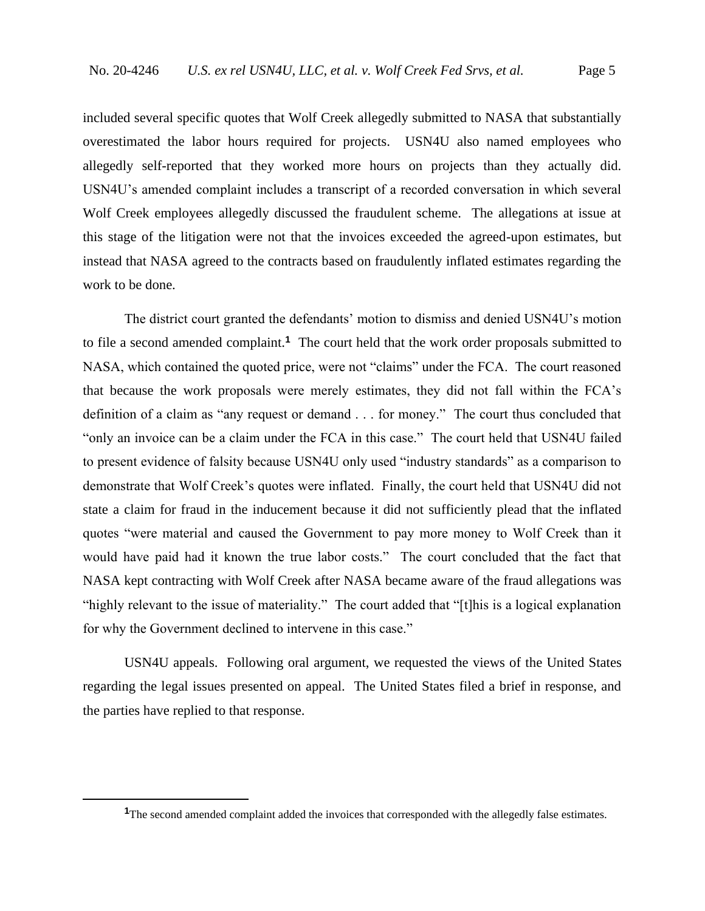included several specific quotes that Wolf Creek allegedly submitted to NASA that substantially overestimated the labor hours required for projects. USN4U also named employees who allegedly self-reported that they worked more hours on projects than they actually did. USN4U's amended complaint includes a transcript of a recorded conversation in which several Wolf Creek employees allegedly discussed the fraudulent scheme. The allegations at issue at this stage of the litigation were not that the invoices exceeded the agreed-upon estimates, but instead that NASA agreed to the contracts based on fraudulently inflated estimates regarding the work to be done.

The district court granted the defendants' motion to dismiss and denied USN4U's motion to file a second amended complaint.**<sup>1</sup>** The court held that the work order proposals submitted to NASA, which contained the quoted price, were not "claims" under the FCA. The court reasoned that because the work proposals were merely estimates, they did not fall within the FCA's definition of a claim as "any request or demand . . . for money." The court thus concluded that "only an invoice can be a claim under the FCA in this case." The court held that USN4U failed to present evidence of falsity because USN4U only used "industry standards" as a comparison to demonstrate that Wolf Creek's quotes were inflated. Finally, the court held that USN4U did not state a claim for fraud in the inducement because it did not sufficiently plead that the inflated quotes "were material and caused the Government to pay more money to Wolf Creek than it would have paid had it known the true labor costs." The court concluded that the fact that NASA kept contracting with Wolf Creek after NASA became aware of the fraud allegations was "highly relevant to the issue of materiality." The court added that "[t]his is a logical explanation for why the Government declined to intervene in this case."

USN4U appeals. Following oral argument, we requested the views of the United States regarding the legal issues presented on appeal. The United States filed a brief in response, and the parties have replied to that response.

<sup>&</sup>lt;sup>1</sup>The second amended complaint added the invoices that corresponded with the allegedly false estimates.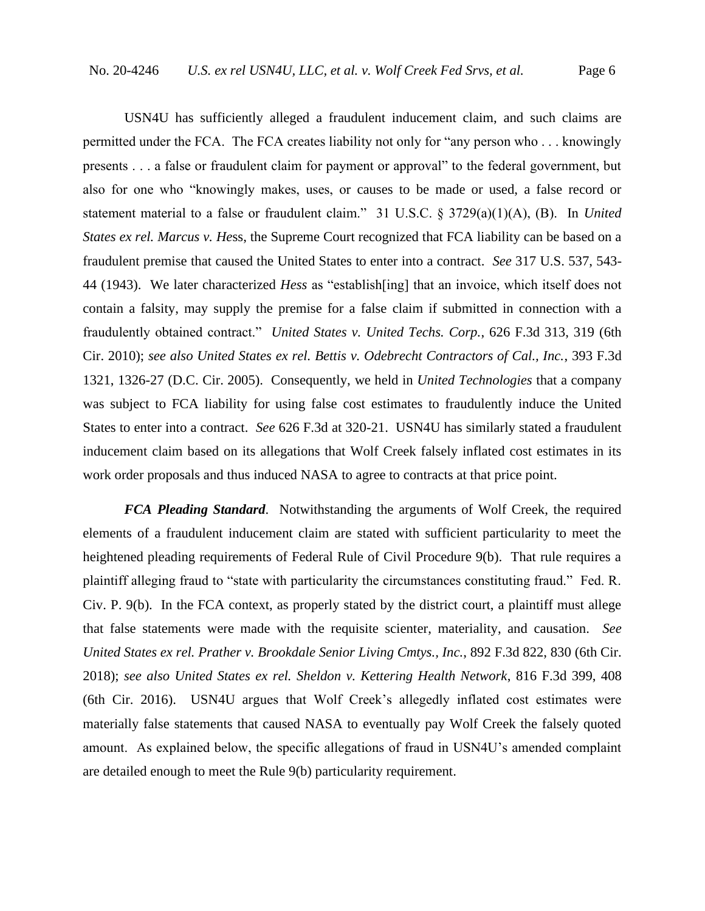USN4U has sufficiently alleged a fraudulent inducement claim, and such claims are permitted under the FCA. The FCA creates liability not only for "any person who . . . knowingly presents . . . a false or fraudulent claim for payment or approval" to the federal government, but also for one who "knowingly makes, uses, or causes to be made or used, a false record or statement material to a false or fraudulent claim." 31 U.S.C. § 3729(a)(1)(A), (B). In *United States ex rel. Marcus v. He*ss, the Supreme Court recognized that FCA liability can be based on a fraudulent premise that caused the United States to enter into a contract. *See* 317 U.S. 537, 543- 44 (1943). We later characterized *Hess* as "establish[ing] that an invoice, which itself does not contain a falsity, may supply the premise for a false claim if submitted in connection with a fraudulently obtained contract." *United States v. United Techs. Corp.*, 626 F.3d 313, 319 (6th Cir. 2010); *see also United States ex rel. Bettis v. Odebrecht Contractors of Cal., Inc.*, 393 F.3d 1321, 1326-27 (D.C. Cir. 2005). Consequently, we held in *United Technologies* that a company was subject to FCA liability for using false cost estimates to fraudulently induce the United States to enter into a contract. *See* 626 F.3d at 320-21. USN4U has similarly stated a fraudulent inducement claim based on its allegations that Wolf Creek falsely inflated cost estimates in its work order proposals and thus induced NASA to agree to contracts at that price point.

*FCA Pleading Standard*. Notwithstanding the arguments of Wolf Creek, the required elements of a fraudulent inducement claim are stated with sufficient particularity to meet the heightened pleading requirements of Federal Rule of Civil Procedure 9(b). That rule requires a plaintiff alleging fraud to "state with particularity the circumstances constituting fraud." Fed. R. Civ. P. 9(b). In the FCA context, as properly stated by the district court, a plaintiff must allege that false statements were made with the requisite scienter, materiality, and causation. *See United States ex rel. Prather v. Brookdale Senior Living Cmtys., Inc.*, 892 F.3d 822, 830 (6th Cir. 2018); *see also United States ex rel. Sheldon v. Kettering Health Network*, 816 F.3d 399, 408 (6th Cir. 2016). USN4U argues that Wolf Creek's allegedly inflated cost estimates were materially false statements that caused NASA to eventually pay Wolf Creek the falsely quoted amount. As explained below, the specific allegations of fraud in USN4U's amended complaint are detailed enough to meet the Rule 9(b) particularity requirement.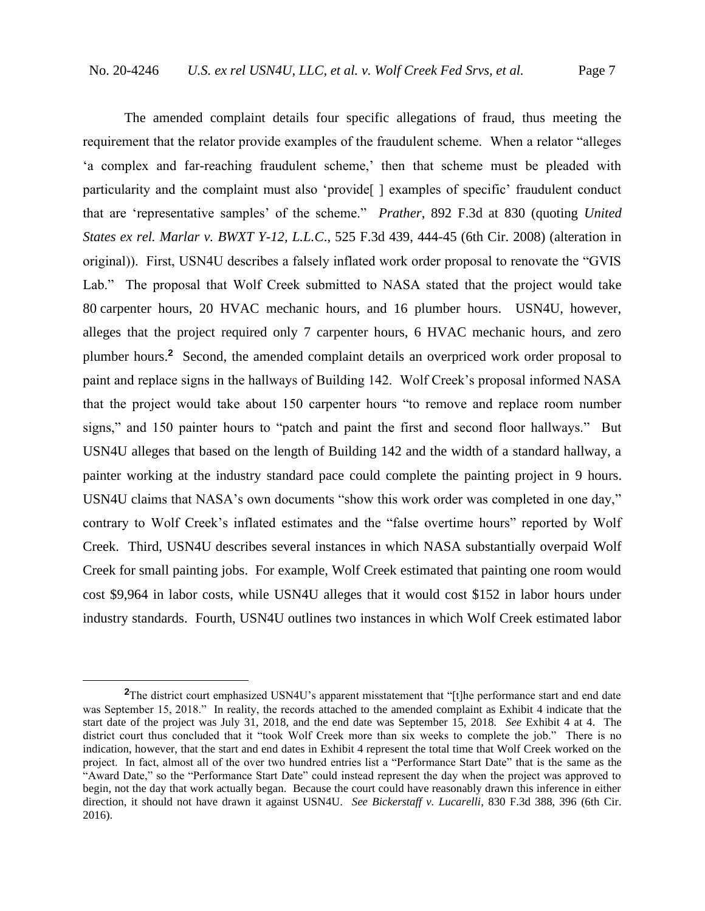The amended complaint details four specific allegations of fraud, thus meeting the requirement that the relator provide examples of the fraudulent scheme. When a relator "alleges 'a complex and far-reaching fraudulent scheme,' then that scheme must be pleaded with particularity and the complaint must also 'provide<sup>[]</sup> examples of specific' fraudulent conduct that are 'representative samples' of the scheme." *Prather*, 892 F.3d at 830 (quoting *United States ex rel. Marlar v. BWXT Y-12, L.L.C*., 525 F.3d 439, 444-45 (6th Cir. 2008) (alteration in original)). First, USN4U describes a falsely inflated work order proposal to renovate the "GVIS Lab." The proposal that Wolf Creek submitted to NASA stated that the project would take 80 carpenter hours, 20 HVAC mechanic hours, and 16 plumber hours. USN4U, however, alleges that the project required only 7 carpenter hours, 6 HVAC mechanic hours, and zero plumber hours.**<sup>2</sup>** Second, the amended complaint details an overpriced work order proposal to paint and replace signs in the hallways of Building 142. Wolf Creek's proposal informed NASA that the project would take about 150 carpenter hours "to remove and replace room number signs," and 150 painter hours to "patch and paint the first and second floor hallways." But USN4U alleges that based on the length of Building 142 and the width of a standard hallway, a painter working at the industry standard pace could complete the painting project in 9 hours. USN4U claims that NASA's own documents "show this work order was completed in one day," contrary to Wolf Creek's inflated estimates and the "false overtime hours" reported by Wolf Creek. Third, USN4U describes several instances in which NASA substantially overpaid Wolf Creek for small painting jobs. For example, Wolf Creek estimated that painting one room would cost \$9,964 in labor costs, while USN4U alleges that it would cost \$152 in labor hours under industry standards. Fourth, USN4U outlines two instances in which Wolf Creek estimated labor

<sup>&</sup>lt;sup>2</sup>The district court emphasized USN4U's apparent misstatement that "[t]he performance start and end date was September 15, 2018." In reality, the records attached to the amended complaint as Exhibit 4 indicate that the start date of the project was July 31, 2018, and the end date was September 15, 2018. *See* Exhibit 4 at 4. The district court thus concluded that it "took Wolf Creek more than six weeks to complete the job." There is no indication, however, that the start and end dates in Exhibit 4 represent the total time that Wolf Creek worked on the project. In fact, almost all of the over two hundred entries list a "Performance Start Date" that is the same as the "Award Date," so the "Performance Start Date" could instead represent the day when the project was approved to begin, not the day that work actually began. Because the court could have reasonably drawn this inference in either direction, it should not have drawn it against USN4U. *See Bickerstaff v. Lucarelli*, 830 F.3d 388, 396 (6th Cir. 2016).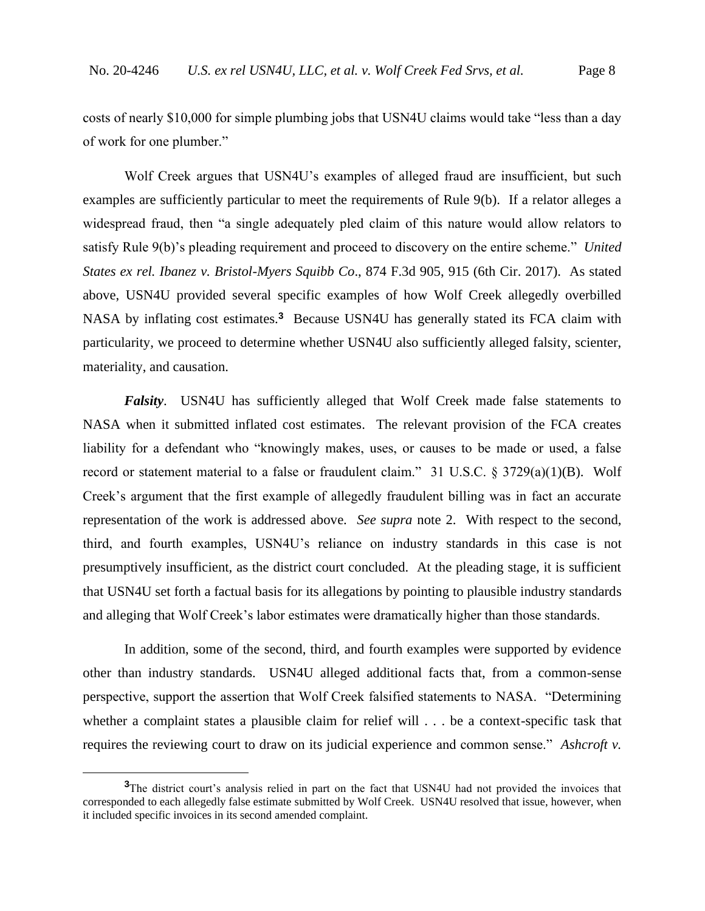costs of nearly \$10,000 for simple plumbing jobs that USN4U claims would take "less than a day of work for one plumber."

Wolf Creek argues that USN4U's examples of alleged fraud are insufficient, but such examples are sufficiently particular to meet the requirements of Rule 9(b). If a relator alleges a widespread fraud, then "a single adequately pled claim of this nature would allow relators to satisfy Rule 9(b)'s pleading requirement and proceed to discovery on the entire scheme." *United States ex rel. Ibanez v. Bristol-Myers Squibb Co*., 874 F.3d 905, 915 (6th Cir. 2017). As stated above, USN4U provided several specific examples of how Wolf Creek allegedly overbilled NASA by inflating cost estimates.**<sup>3</sup>** Because USN4U has generally stated its FCA claim with particularity, we proceed to determine whether USN4U also sufficiently alleged falsity, scienter, materiality, and causation.

*Falsity*. USN4U has sufficiently alleged that Wolf Creek made false statements to NASA when it submitted inflated cost estimates. The relevant provision of the FCA creates liability for a defendant who "knowingly makes, uses, or causes to be made or used, a false record or statement material to a false or fraudulent claim." 31 U.S.C. § 3729(a)(1)(B). Wolf Creek's argument that the first example of allegedly fraudulent billing was in fact an accurate representation of the work is addressed above. *See supra* note 2. With respect to the second, third, and fourth examples, USN4U's reliance on industry standards in this case is not presumptively insufficient, as the district court concluded. At the pleading stage, it is sufficient that USN4U set forth a factual basis for its allegations by pointing to plausible industry standards and alleging that Wolf Creek's labor estimates were dramatically higher than those standards.

In addition, some of the second, third, and fourth examples were supported by evidence other than industry standards. USN4U alleged additional facts that, from a common-sense perspective, support the assertion that Wolf Creek falsified statements to NASA. "Determining whether a complaint states a plausible claim for relief will . . . be a context-specific task that requires the reviewing court to draw on its judicial experience and common sense." *Ashcroft v.* 

**<sup>3</sup>**The district court's analysis relied in part on the fact that USN4U had not provided the invoices that corresponded to each allegedly false estimate submitted by Wolf Creek. USN4U resolved that issue, however, when it included specific invoices in its second amended complaint.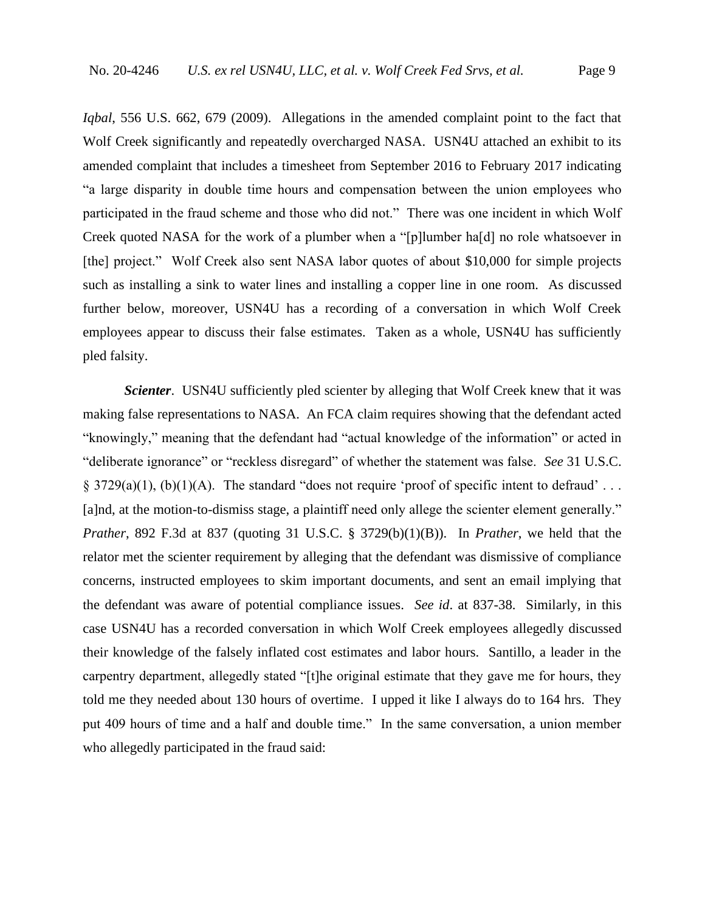*Iqbal*, 556 U.S. 662, 679 (2009). Allegations in the amended complaint point to the fact that Wolf Creek significantly and repeatedly overcharged NASA. USN4U attached an exhibit to its amended complaint that includes a timesheet from September 2016 to February 2017 indicating "a large disparity in double time hours and compensation between the union employees who participated in the fraud scheme and those who did not." There was one incident in which Wolf Creek quoted NASA for the work of a plumber when a "[p]lumber ha[d] no role whatsoever in [the] project." Wolf Creek also sent NASA labor quotes of about \$10,000 for simple projects such as installing a sink to water lines and installing a copper line in one room. As discussed further below, moreover, USN4U has a recording of a conversation in which Wolf Creek employees appear to discuss their false estimates. Taken as a whole, USN4U has sufficiently pled falsity.

*Scienter.* USN4U sufficiently pled scienter by alleging that Wolf Creek knew that it was making false representations to NASA. An FCA claim requires showing that the defendant acted "knowingly," meaning that the defendant had "actual knowledge of the information" or acted in "deliberate ignorance" or "reckless disregard" of whether the statement was false. *See* 31 U.S.C. § 3729(a)(1), (b)(1)(A). The standard "does not require 'proof of specific intent to defraud'... [a]nd, at the motion-to-dismiss stage, a plaintiff need only allege the scienter element generally." *Prather*, 892 F.3d at 837 (quoting 31 U.S.C. § 3729(b)(1)(B)). In *Prather*, we held that the relator met the scienter requirement by alleging that the defendant was dismissive of compliance concerns, instructed employees to skim important documents, and sent an email implying that the defendant was aware of potential compliance issues. *See id*. at 837-38. Similarly, in this case USN4U has a recorded conversation in which Wolf Creek employees allegedly discussed their knowledge of the falsely inflated cost estimates and labor hours. Santillo, a leader in the carpentry department, allegedly stated "[t]he original estimate that they gave me for hours, they told me they needed about 130 hours of overtime. I upped it like I always do to 164 hrs. They put 409 hours of time and a half and double time." In the same conversation, a union member who allegedly participated in the fraud said: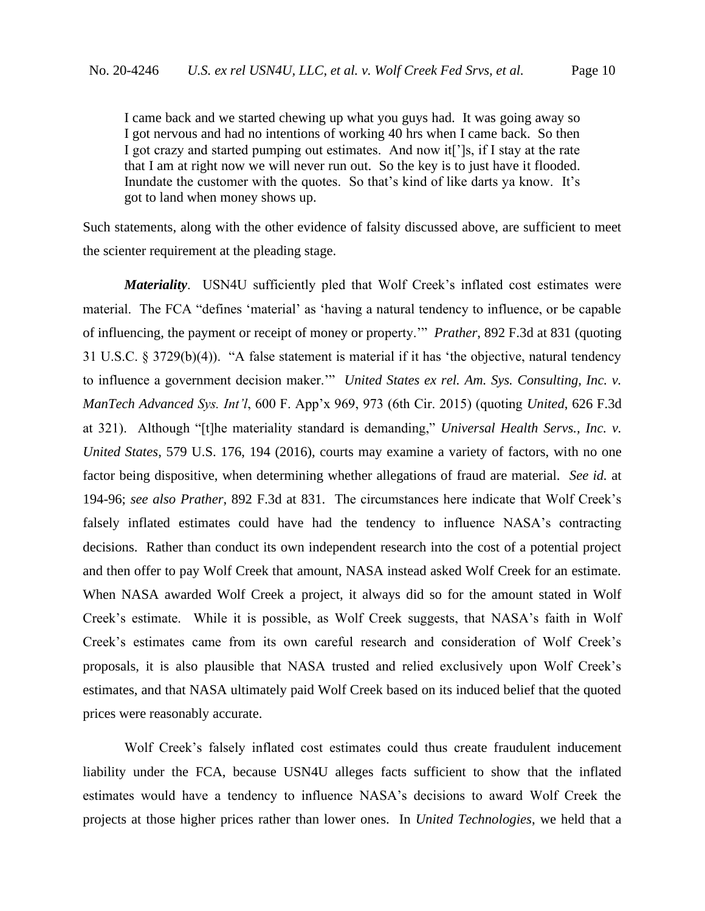I came back and we started chewing up what you guys had. It was going away so I got nervous and had no intentions of working 40 hrs when I came back. So then I got crazy and started pumping out estimates. And now it[']s, if I stay at the rate that I am at right now we will never run out. So the key is to just have it flooded. Inundate the customer with the quotes. So that's kind of like darts ya know. It's got to land when money shows up.

Such statements, along with the other evidence of falsity discussed above, are sufficient to meet the scienter requirement at the pleading stage.

*Materiality*. USN4U sufficiently pled that Wolf Creek's inflated cost estimates were material. The FCA "defines 'material' as 'having a natural tendency to influence, or be capable of influencing, the payment or receipt of money or property.'" *Prather*, 892 F.3d at 831 (quoting 31 U.S.C. § 3729(b)(4)). "A false statement is material if it has 'the objective, natural tendency to influence a government decision maker.'" *United States ex rel. Am. Sys. Consulting, Inc. v. ManTech Advanced Sys. Int'l*, 600 F. App'x 969, 973 (6th Cir. 2015) (quoting *United*, 626 F.3d at 321). Although "[t]he materiality standard is demanding," *Universal Health Servs., Inc. v. United States*, 579 U.S. 176, 194 (2016), courts may examine a variety of factors, with no one factor being dispositive, when determining whether allegations of fraud are material. *See id.* at 194-96; *see also Prather*, 892 F.3d at 831. The circumstances here indicate that Wolf Creek's falsely inflated estimates could have had the tendency to influence NASA's contracting decisions. Rather than conduct its own independent research into the cost of a potential project and then offer to pay Wolf Creek that amount, NASA instead asked Wolf Creek for an estimate. When NASA awarded Wolf Creek a project, it always did so for the amount stated in Wolf Creek's estimate. While it is possible, as Wolf Creek suggests, that NASA's faith in Wolf Creek's estimates came from its own careful research and consideration of Wolf Creek's proposals, it is also plausible that NASA trusted and relied exclusively upon Wolf Creek's estimates, and that NASA ultimately paid Wolf Creek based on its induced belief that the quoted prices were reasonably accurate.

Wolf Creek's falsely inflated cost estimates could thus create fraudulent inducement liability under the FCA, because USN4U alleges facts sufficient to show that the inflated estimates would have a tendency to influence NASA's decisions to award Wolf Creek the projects at those higher prices rather than lower ones. In *United Technologies*, we held that a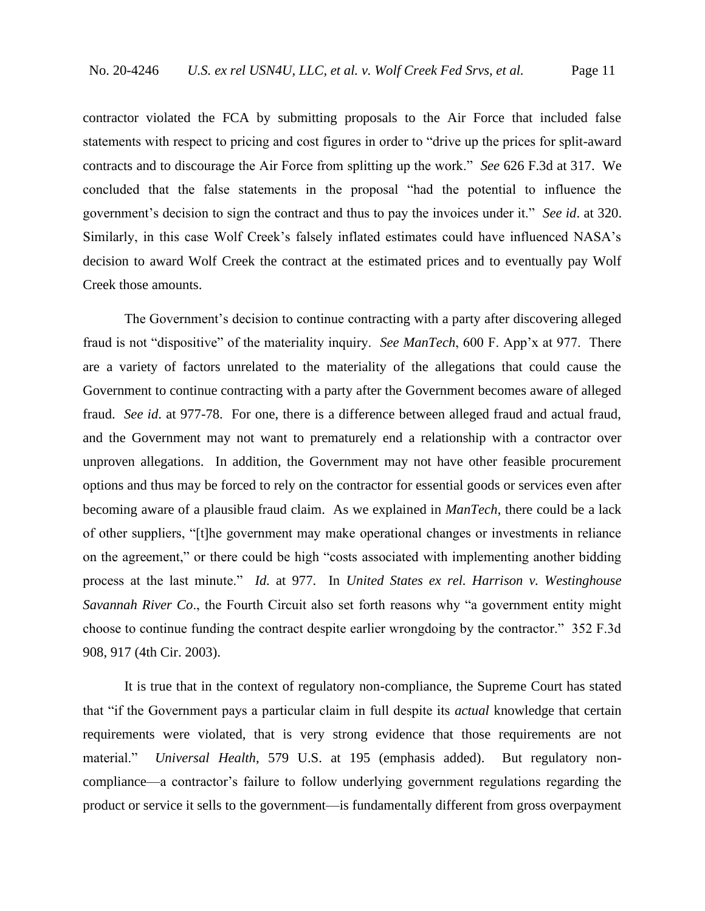contractor violated the FCA by submitting proposals to the Air Force that included false statements with respect to pricing and cost figures in order to "drive up the prices for split-award contracts and to discourage the Air Force from splitting up the work." *See* 626 F.3d at 317. We concluded that the false statements in the proposal "had the potential to influence the government's decision to sign the contract and thus to pay the invoices under it." *See id*. at 320. Similarly, in this case Wolf Creek's falsely inflated estimates could have influenced NASA's decision to award Wolf Creek the contract at the estimated prices and to eventually pay Wolf Creek those amounts.

The Government's decision to continue contracting with a party after discovering alleged fraud is not "dispositive" of the materiality inquiry. *See ManTech*, 600 F. App'x at 977. There are a variety of factors unrelated to the materiality of the allegations that could cause the Government to continue contracting with a party after the Government becomes aware of alleged fraud. *See id*. at 977-78. For one, there is a difference between alleged fraud and actual fraud, and the Government may not want to prematurely end a relationship with a contractor over unproven allegations. In addition, the Government may not have other feasible procurement options and thus may be forced to rely on the contractor for essential goods or services even after becoming aware of a plausible fraud claim. As we explained in *ManTech*, there could be a lack of other suppliers, "[t]he government may make operational changes or investments in reliance on the agreement," or there could be high "costs associated with implementing another bidding process at the last minute." *Id.* at 977. In *United States ex rel. Harrison v. Westinghouse Savannah River Co*., the Fourth Circuit also set forth reasons why "a government entity might choose to continue funding the contract despite earlier wrongdoing by the contractor." 352 F.3d 908, 917 (4th Cir. 2003).

It is true that in the context of regulatory non-compliance, the Supreme Court has stated that "if the Government pays a particular claim in full despite its *actual* knowledge that certain requirements were violated, that is very strong evidence that those requirements are not material." *Universal Health*, 579 U.S. at 195 (emphasis added). But regulatory noncompliance—a contractor's failure to follow underlying government regulations regarding the product or service it sells to the government—is fundamentally different from gross overpayment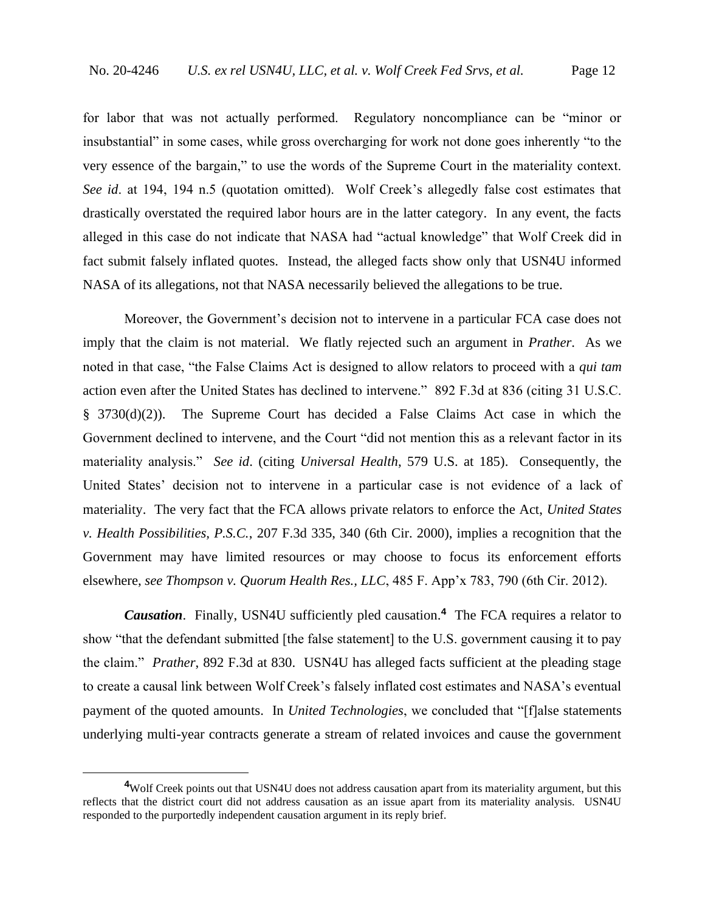for labor that was not actually performed. Regulatory noncompliance can be "minor or insubstantial" in some cases, while gross overcharging for work not done goes inherently "to the very essence of the bargain," to use the words of the Supreme Court in the materiality context. *See id*. at 194, 194 n.5 (quotation omitted). Wolf Creek's allegedly false cost estimates that drastically overstated the required labor hours are in the latter category. In any event, the facts alleged in this case do not indicate that NASA had "actual knowledge" that Wolf Creek did in fact submit falsely inflated quotes. Instead, the alleged facts show only that USN4U informed NASA of its allegations, not that NASA necessarily believed the allegations to be true.

Moreover, the Government's decision not to intervene in a particular FCA case does not imply that the claim is not material. We flatly rejected such an argument in *Prather*. As we noted in that case, "the False Claims Act is designed to allow relators to proceed with a *qui tam* action even after the United States has declined to intervene." 892 F.3d at 836 (citing 31 U.S.C. § 3730(d)(2)). The Supreme Court has decided a False Claims Act case in which the Government declined to intervene, and the Court "did not mention this as a relevant factor in its materiality analysis." *See id*. (citing *Universal Health*, 579 U.S. at 185). Consequently, the United States' decision not to intervene in a particular case is not evidence of a lack of materiality. The very fact that the FCA allows private relators to enforce the Act, *United States v. Health Possibilities, P.S.C.*, 207 F.3d 335, 340 (6th Cir. 2000), implies a recognition that the Government may have limited resources or may choose to focus its enforcement efforts elsewhere, *see Thompson v. Quorum Health Res., LLC*, 485 F. App'x 783, 790 (6th Cir. 2012).

*Causation*. Finally, USN4U sufficiently pled causation.**<sup>4</sup>** The FCA requires a relator to show "that the defendant submitted [the false statement] to the U.S. government causing it to pay the claim." *Prather*, 892 F.3d at 830. USN4U has alleged facts sufficient at the pleading stage to create a causal link between Wolf Creek's falsely inflated cost estimates and NASA's eventual payment of the quoted amounts. In *United Technologies*, we concluded that "[f]alse statements underlying multi-year contracts generate a stream of related invoices and cause the government

**<sup>4</sup>**Wolf Creek points out that USN4U does not address causation apart from its materiality argument, but this reflects that the district court did not address causation as an issue apart from its materiality analysis. USN4U responded to the purportedly independent causation argument in its reply brief.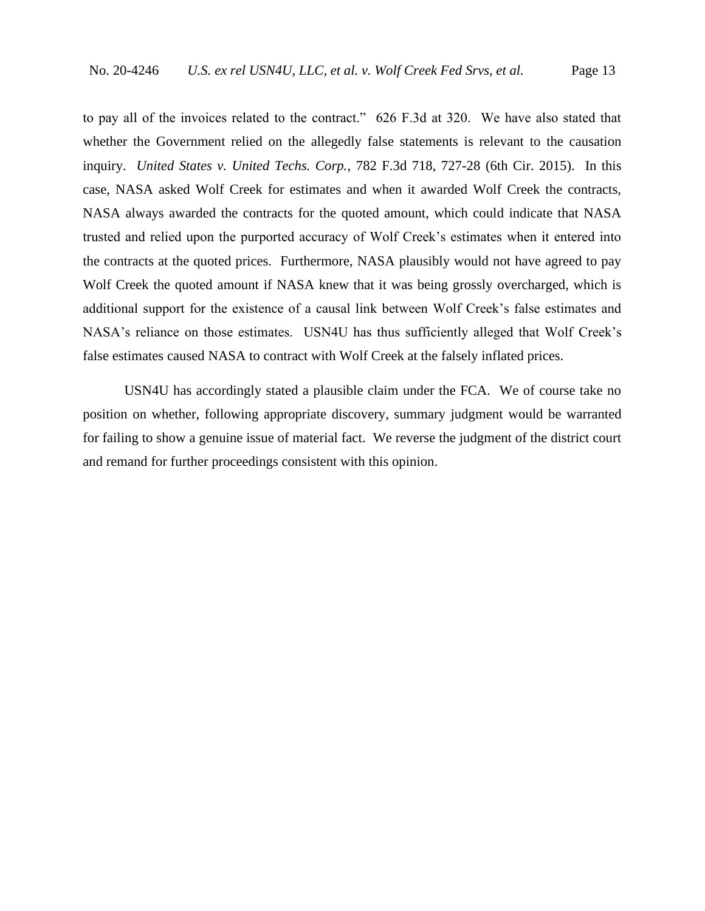to pay all of the invoices related to the contract." 626 F.3d at 320. We have also stated that whether the Government relied on the allegedly false statements is relevant to the causation inquiry. *United States v. United Techs. Corp.*, 782 F.3d 718, 727-28 (6th Cir. 2015). In this case, NASA asked Wolf Creek for estimates and when it awarded Wolf Creek the contracts, NASA always awarded the contracts for the quoted amount, which could indicate that NASA trusted and relied upon the purported accuracy of Wolf Creek's estimates when it entered into the contracts at the quoted prices. Furthermore, NASA plausibly would not have agreed to pay Wolf Creek the quoted amount if NASA knew that it was being grossly overcharged, which is additional support for the existence of a causal link between Wolf Creek's false estimates and NASA's reliance on those estimates. USN4U has thus sufficiently alleged that Wolf Creek's false estimates caused NASA to contract with Wolf Creek at the falsely inflated prices.

USN4U has accordingly stated a plausible claim under the FCA. We of course take no position on whether, following appropriate discovery, summary judgment would be warranted for failing to show a genuine issue of material fact. We reverse the judgment of the district court and remand for further proceedings consistent with this opinion.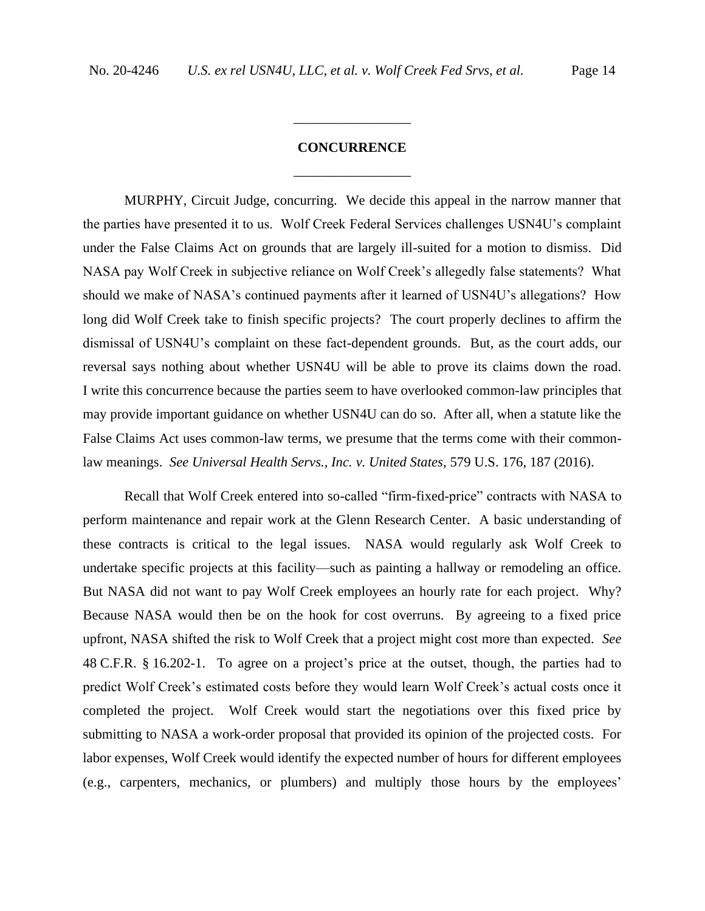# **CONCURRENCE** \_\_\_\_\_\_\_\_\_\_\_\_\_\_\_\_\_

\_\_\_\_\_\_\_\_\_\_\_\_\_\_\_\_\_

MURPHY, Circuit Judge, concurring. We decide this appeal in the narrow manner that the parties have presented it to us. Wolf Creek Federal Services challenges USN4U's complaint under the False Claims Act on grounds that are largely ill-suited for a motion to dismiss. Did NASA pay Wolf Creek in subjective reliance on Wolf Creek's allegedly false statements? What should we make of NASA's continued payments after it learned of USN4U's allegations? How long did Wolf Creek take to finish specific projects? The court properly declines to affirm the dismissal of USN4U's complaint on these fact-dependent grounds. But, as the court adds, our reversal says nothing about whether USN4U will be able to prove its claims down the road. I write this concurrence because the parties seem to have overlooked common-law principles that may provide important guidance on whether USN4U can do so. After all, when a statute like the False Claims Act uses common-law terms, we presume that the terms come with their commonlaw meanings. *See Universal Health Servs., Inc. v. United States*, 579 U.S. 176, 187 (2016).

Recall that Wolf Creek entered into so-called "firm-fixed-price" contracts with NASA to perform maintenance and repair work at the Glenn Research Center. A basic understanding of these contracts is critical to the legal issues. NASA would regularly ask Wolf Creek to undertake specific projects at this facility—such as painting a hallway or remodeling an office. But NASA did not want to pay Wolf Creek employees an hourly rate for each project. Why? Because NASA would then be on the hook for cost overruns. By agreeing to a fixed price upfront, NASA shifted the risk to Wolf Creek that a project might cost more than expected. *See*  48 C.F.R. § 16.202-1. To agree on a project's price at the outset, though, the parties had to predict Wolf Creek's estimated costs before they would learn Wolf Creek's actual costs once it completed the project. Wolf Creek would start the negotiations over this fixed price by submitting to NASA a work-order proposal that provided its opinion of the projected costs. For labor expenses, Wolf Creek would identify the expected number of hours for different employees (e.g., carpenters, mechanics, or plumbers) and multiply those hours by the employees'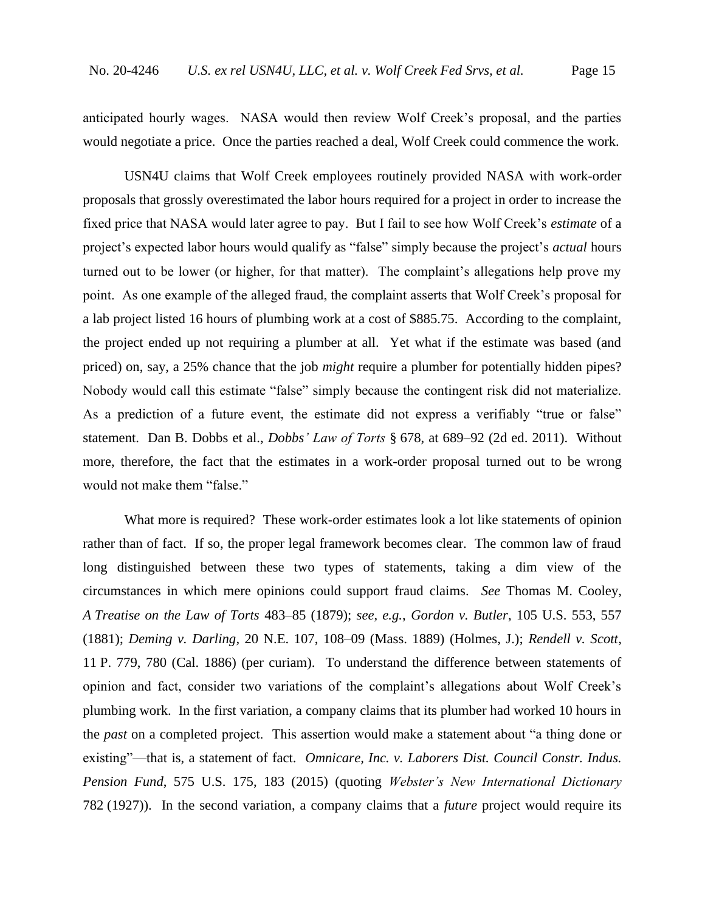anticipated hourly wages. NASA would then review Wolf Creek's proposal, and the parties would negotiate a price. Once the parties reached a deal, Wolf Creek could commence the work.

USN4U claims that Wolf Creek employees routinely provided NASA with work-order proposals that grossly overestimated the labor hours required for a project in order to increase the fixed price that NASA would later agree to pay. But I fail to see how Wolf Creek's *estimate* of a project's expected labor hours would qualify as "false" simply because the project's *actual* hours turned out to be lower (or higher, for that matter). The complaint's allegations help prove my point. As one example of the alleged fraud, the complaint asserts that Wolf Creek's proposal for a lab project listed 16 hours of plumbing work at a cost of \$885.75. According to the complaint, the project ended up not requiring a plumber at all. Yet what if the estimate was based (and priced) on, say, a 25% chance that the job *might* require a plumber for potentially hidden pipes? Nobody would call this estimate "false" simply because the contingent risk did not materialize. As a prediction of a future event, the estimate did not express a verifiably "true or false" statement. Dan B. Dobbs et al., *Dobbs' Law of Torts* § 678, at 689–92 (2d ed. 2011). Without more, therefore, the fact that the estimates in a work-order proposal turned out to be wrong would not make them "false."

What more is required? These work-order estimates look a lot like statements of opinion rather than of fact. If so, the proper legal framework becomes clear. The common law of fraud long distinguished between these two types of statements, taking a dim view of the circumstances in which mere opinions could support fraud claims. *See* Thomas M. Cooley, *A Treatise on the Law of Torts* 483–85 (1879); *see, e.g.*, *Gordon v. Butler*, 105 U.S. 553, 557 (1881); *Deming v. Darling*, 20 N.E. 107, 108–09 (Mass. 1889) (Holmes, J.); *Rendell v. Scott*, 11 P. 779, 780 (Cal. 1886) (per curiam). To understand the difference between statements of opinion and fact, consider two variations of the complaint's allegations about Wolf Creek's plumbing work. In the first variation, a company claims that its plumber had worked 10 hours in the *past* on a completed project. This assertion would make a statement about "a thing done or existing"—that is, a statement of fact. *Omnicare, Inc. v. Laborers Dist. Council Constr. Indus. Pension Fund*, 575 U.S. 175, 183 (2015) (quoting *Webster's New International Dictionary* 782 (1927)). In the second variation, a company claims that a *future* project would require its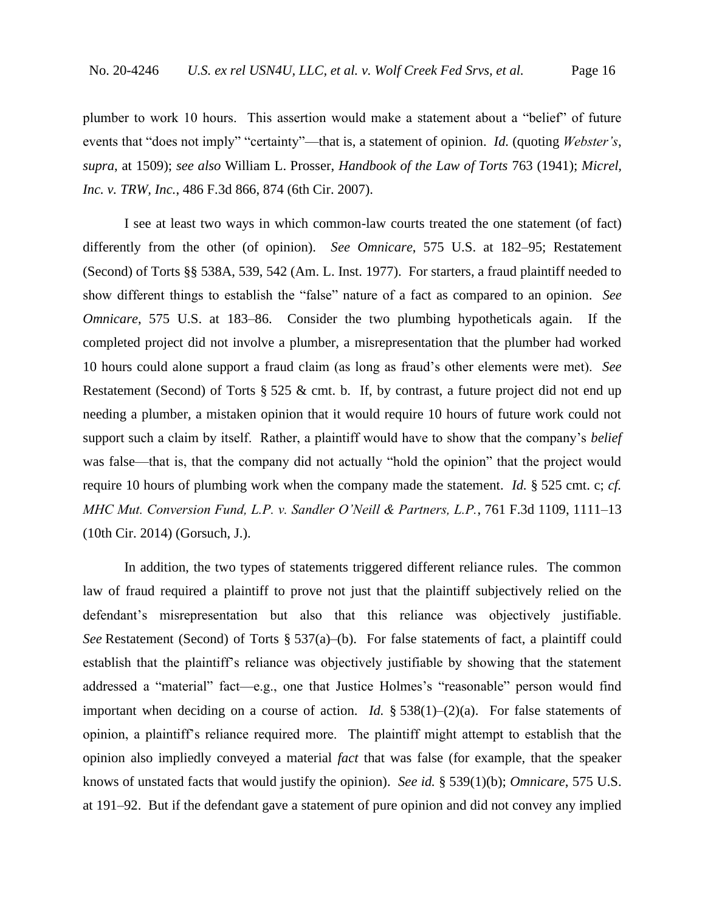plumber to work 10 hours. This assertion would make a statement about a "belief" of future events that "does not imply" "certainty"—that is, a statement of opinion. *Id.* (quoting *Webster's*, *supra*, at 1509); *see also* William L. Prosser, *Handbook of the Law of Torts* 763 (1941); *Micrel, Inc. v. TRW, Inc.*, 486 F.3d 866, 874 (6th Cir. 2007).

I see at least two ways in which common-law courts treated the one statement (of fact) differently from the other (of opinion). *See Omnicare*, 575 U.S. at 182–95; Restatement (Second) of Torts §§ 538A, 539, 542 (Am. L. Inst. 1977). For starters, a fraud plaintiff needed to show different things to establish the "false" nature of a fact as compared to an opinion. *See Omnicare*, 575 U.S. at 183–86. Consider the two plumbing hypotheticals again. If the completed project did not involve a plumber, a misrepresentation that the plumber had worked 10 hours could alone support a fraud claim (as long as fraud's other elements were met). *See*  Restatement (Second) of Torts  $\S 525 \&$  cmt. b. If, by contrast, a future project did not end up needing a plumber, a mistaken opinion that it would require 10 hours of future work could not support such a claim by itself. Rather, a plaintiff would have to show that the company's *belief* was false—that is, that the company did not actually "hold the opinion" that the project would require 10 hours of plumbing work when the company made the statement. *Id.* § 525 cmt. c; *cf. MHC Mut. Conversion Fund, L.P. v. Sandler O'Neill & Partners, L.P.*, 761 F.3d 1109, 1111–13 (10th Cir. 2014) (Gorsuch, J.).

In addition, the two types of statements triggered different reliance rules. The common law of fraud required a plaintiff to prove not just that the plaintiff subjectively relied on the defendant's misrepresentation but also that this reliance was objectively justifiable. *See* Restatement (Second) of Torts § 537(a)–(b). For false statements of fact, a plaintiff could establish that the plaintiff's reliance was objectively justifiable by showing that the statement addressed a "material" fact—e.g., one that Justice Holmes's "reasonable" person would find important when deciding on a course of action. *Id.* § 538(1)–(2)(a). For false statements of opinion, a plaintiff's reliance required more. The plaintiff might attempt to establish that the opinion also impliedly conveyed a material *fact* that was false (for example, that the speaker knows of unstated facts that would justify the opinion). *See id.* § 539(1)(b); *Omnicare*, 575 U.S. at 191–92. But if the defendant gave a statement of pure opinion and did not convey any implied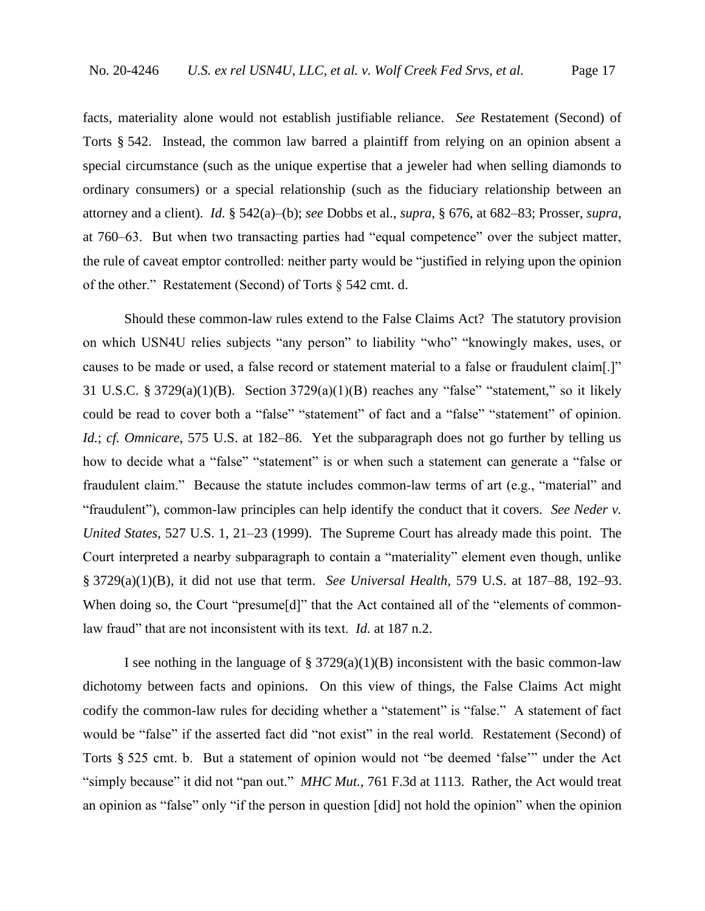facts, materiality alone would not establish justifiable reliance. *See* Restatement (Second) of Torts § 542. Instead, the common law barred a plaintiff from relying on an opinion absent a special circumstance (such as the unique expertise that a jeweler had when selling diamonds to ordinary consumers) or a special relationship (such as the fiduciary relationship between an attorney and a client). *Id.* § 542(a)–(b); *see* Dobbs et al., *supra*, § 676, at 682–83; Prosser, *supra*, at 760–63. But when two transacting parties had "equal competence" over the subject matter, the rule of caveat emptor controlled: neither party would be "justified in relying upon the opinion of the other." Restatement (Second) of Torts § 542 cmt. d.

Should these common-law rules extend to the False Claims Act? The statutory provision on which USN4U relies subjects "any person" to liability "who" "knowingly makes, uses, or causes to be made or used, a false record or statement material to a false or fraudulent claim[.]" 31 U.S.C. § 3729(a)(1)(B). Section 3729(a)(1)(B) reaches any "false" "statement," so it likely could be read to cover both a "false" "statement" of fact and a "false" "statement" of opinion. *Id.*; *cf. Omnicare*, 575 U.S. at 182–86. Yet the subparagraph does not go further by telling us how to decide what a "false" "statement" is or when such a statement can generate a "false or fraudulent claim." Because the statute includes common-law terms of art (e.g., "material" and "fraudulent"), common-law principles can help identify the conduct that it covers. *See Neder v. United States*, 527 U.S. 1, 21–23 (1999). The Supreme Court has already made this point. The Court interpreted a nearby subparagraph to contain a "materiality" element even though, unlike § 3729(a)(1)(B), it did not use that term. *See Universal Health*, 579 U.S. at 187–88, 192–93. When doing so, the Court "presume[d]" that the Act contained all of the "elements of commonlaw fraud" that are not inconsistent with its text. *Id.* at 187 n.2.

I see nothing in the language of §  $3729(a)(1)(B)$  inconsistent with the basic common-law dichotomy between facts and opinions. On this view of things, the False Claims Act might codify the common-law rules for deciding whether a "statement" is "false." A statement of fact would be "false" if the asserted fact did "not exist" in the real world. Restatement (Second) of Torts § 525 cmt. b. But a statement of opinion would not "be deemed 'false'" under the Act "simply because" it did not "pan out." *MHC Mut.*, 761 F.3d at 1113. Rather, the Act would treat an opinion as "false" only "if the person in question [did] not hold the opinion" when the opinion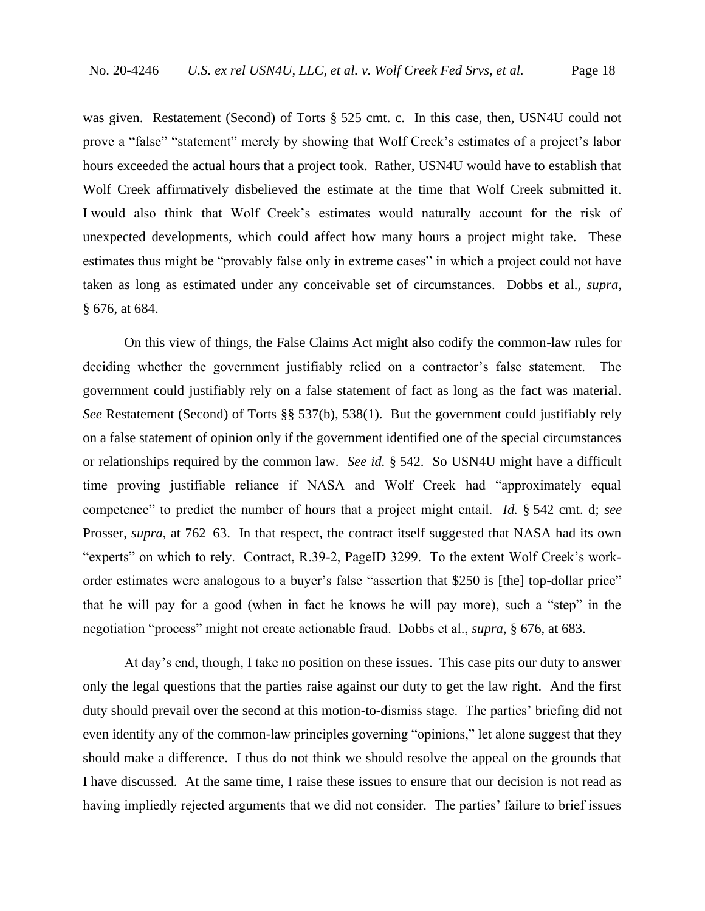was given. Restatement (Second) of Torts § 525 cmt. c. In this case, then, USN4U could not prove a "false" "statement" merely by showing that Wolf Creek's estimates of a project's labor hours exceeded the actual hours that a project took. Rather, USN4U would have to establish that Wolf Creek affirmatively disbelieved the estimate at the time that Wolf Creek submitted it. I would also think that Wolf Creek's estimates would naturally account for the risk of unexpected developments, which could affect how many hours a project might take. These estimates thus might be "provably false only in extreme cases" in which a project could not have taken as long as estimated under any conceivable set of circumstances. Dobbs et al., *supra*, § 676, at 684.

On this view of things, the False Claims Act might also codify the common-law rules for deciding whether the government justifiably relied on a contractor's false statement. The government could justifiably rely on a false statement of fact as long as the fact was material. *See* Restatement (Second) of Torts §§ 537(b), 538(1). But the government could justifiably rely on a false statement of opinion only if the government identified one of the special circumstances or relationships required by the common law. *See id.* § 542. So USN4U might have a difficult time proving justifiable reliance if NASA and Wolf Creek had "approximately equal competence" to predict the number of hours that a project might entail. *Id.* § 542 cmt. d; *see*  Prosser, *supra*, at 762–63. In that respect, the contract itself suggested that NASA had its own "experts" on which to rely. Contract, R.39-2, PageID 3299. To the extent Wolf Creek's workorder estimates were analogous to a buyer's false "assertion that \$250 is [the] top-dollar price" that he will pay for a good (when in fact he knows he will pay more), such a "step" in the negotiation "process" might not create actionable fraud. Dobbs et al., *supra*, § 676, at 683.

At day's end, though, I take no position on these issues. This case pits our duty to answer only the legal questions that the parties raise against our duty to get the law right. And the first duty should prevail over the second at this motion-to-dismiss stage. The parties' briefing did not even identify any of the common-law principles governing "opinions," let alone suggest that they should make a difference. I thus do not think we should resolve the appeal on the grounds that I have discussed. At the same time, I raise these issues to ensure that our decision is not read as having impliedly rejected arguments that we did not consider. The parties' failure to brief issues